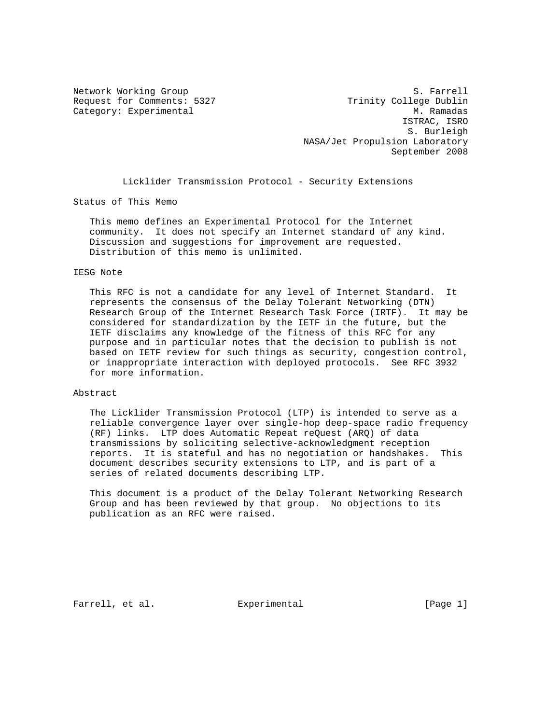Network Working Group S. Farrell Request for Comments: 5327 Trinity College Dublin Category: Experimental Manuscription of the Manuscription of Manuscription of Manuscription of Manuscription of Manuscription of Manuscription of Manuscription of Manuscription of Manuscription of Manuscription of Manuscri ISTRAC, ISRO S. Burleigh NASA/Jet Propulsion Laboratory September 2008

Licklider Transmission Protocol - Security Extensions

Status of This Memo

 This memo defines an Experimental Protocol for the Internet community. It does not specify an Internet standard of any kind. Discussion and suggestions for improvement are requested. Distribution of this memo is unlimited.

## IESG Note

 This RFC is not a candidate for any level of Internet Standard. It represents the consensus of the Delay Tolerant Networking (DTN) Research Group of the Internet Research Task Force (IRTF). It may be considered for standardization by the IETF in the future, but the IETF disclaims any knowledge of the fitness of this RFC for any purpose and in particular notes that the decision to publish is not based on IETF review for such things as security, congestion control, or inappropriate interaction with deployed protocols. See RFC 3932 for more information.

#### Abstract

 The Licklider Transmission Protocol (LTP) is intended to serve as a reliable convergence layer over single-hop deep-space radio frequency (RF) links. LTP does Automatic Repeat reQuest (ARQ) of data transmissions by soliciting selective-acknowledgment reception reports. It is stateful and has no negotiation or handshakes. This document describes security extensions to LTP, and is part of a series of related documents describing LTP.

 This document is a product of the Delay Tolerant Networking Research Group and has been reviewed by that group. No objections to its publication as an RFC were raised.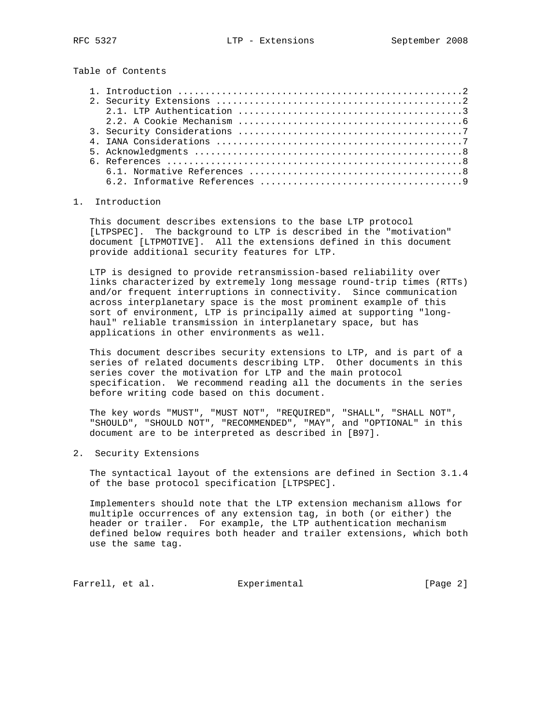Table of Contents

# 1. Introduction

 This document describes extensions to the base LTP protocol [LTPSPEC]. The background to LTP is described in the "motivation" document [LTPMOTIVE]. All the extensions defined in this document provide additional security features for LTP.

 LTP is designed to provide retransmission-based reliability over links characterized by extremely long message round-trip times (RTTs) and/or frequent interruptions in connectivity. Since communication across interplanetary space is the most prominent example of this sort of environment, LTP is principally aimed at supporting "long haul" reliable transmission in interplanetary space, but has applications in other environments as well.

 This document describes security extensions to LTP, and is part of a series of related documents describing LTP. Other documents in this series cover the motivation for LTP and the main protocol specification. We recommend reading all the documents in the series before writing code based on this document.

 The key words "MUST", "MUST NOT", "REQUIRED", "SHALL", "SHALL NOT", "SHOULD", "SHOULD NOT", "RECOMMENDED", "MAY", and "OPTIONAL" in this document are to be interpreted as described in [B97].

2. Security Extensions

 The syntactical layout of the extensions are defined in Section 3.1.4 of the base protocol specification [LTPSPEC].

 Implementers should note that the LTP extension mechanism allows for multiple occurrences of any extension tag, in both (or either) the header or trailer. For example, the LTP authentication mechanism defined below requires both header and trailer extensions, which both use the same tag.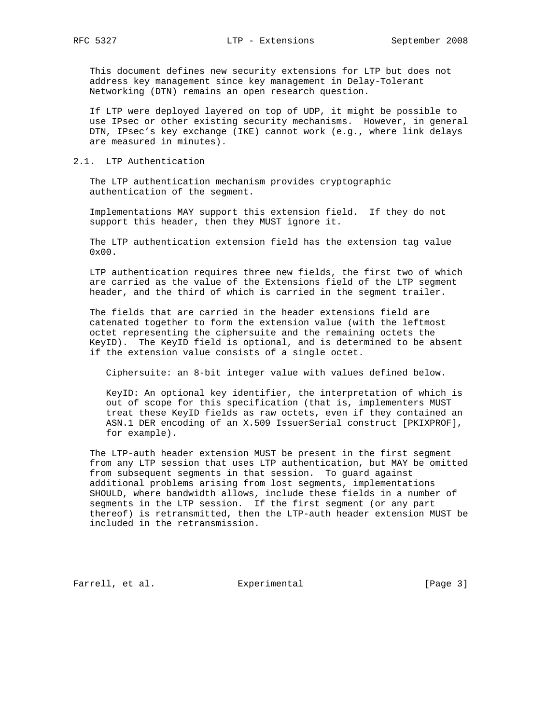This document defines new security extensions for LTP but does not address key management since key management in Delay-Tolerant Networking (DTN) remains an open research question.

 If LTP were deployed layered on top of UDP, it might be possible to use IPsec or other existing security mechanisms. However, in general DTN, IPsec's key exchange (IKE) cannot work (e.g., where link delays are measured in minutes).

## 2.1. LTP Authentication

 The LTP authentication mechanism provides cryptographic authentication of the segment.

 Implementations MAY support this extension field. If they do not support this header, then they MUST ignore it.

 The LTP authentication extension field has the extension tag value 0x00.

 LTP authentication requires three new fields, the first two of which are carried as the value of the Extensions field of the LTP segment header, and the third of which is carried in the segment trailer.

 The fields that are carried in the header extensions field are catenated together to form the extension value (with the leftmost octet representing the ciphersuite and the remaining octets the KeyID). The KeyID field is optional, and is determined to be absent if the extension value consists of a single octet.

Ciphersuite: an 8-bit integer value with values defined below.

 KeyID: An optional key identifier, the interpretation of which is out of scope for this specification (that is, implementers MUST treat these KeyID fields as raw octets, even if they contained an ASN.1 DER encoding of an X.509 IssuerSerial construct [PKIXPROF], for example).

 The LTP-auth header extension MUST be present in the first segment from any LTP session that uses LTP authentication, but MAY be omitted from subsequent segments in that session. To guard against additional problems arising from lost segments, implementations SHOULD, where bandwidth allows, include these fields in a number of segments in the LTP session. If the first segment (or any part thereof) is retransmitted, then the LTP-auth header extension MUST be included in the retransmission.

Farrell, et al. Experimental [Page 3]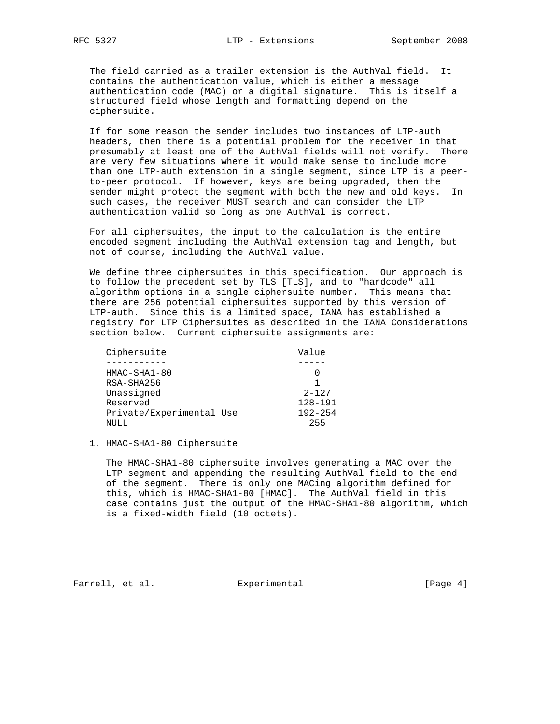The field carried as a trailer extension is the AuthVal field. It contains the authentication value, which is either a message authentication code (MAC) or a digital signature. This is itself a structured field whose length and formatting depend on the ciphersuite.

 If for some reason the sender includes two instances of LTP-auth headers, then there is a potential problem for the receiver in that presumably at least one of the AuthVal fields will not verify. There are very few situations where it would make sense to include more than one LTP-auth extension in a single segment, since LTP is a peer to-peer protocol. If however, keys are being upgraded, then the sender might protect the segment with both the new and old keys. In such cases, the receiver MUST search and can consider the LTP authentication valid so long as one AuthVal is correct.

 For all ciphersuites, the input to the calculation is the entire encoded segment including the AuthVal extension tag and length, but not of course, including the AuthVal value.

 We define three ciphersuites in this specification. Our approach is to follow the precedent set by TLS [TLS], and to "hardcode" all algorithm options in a single ciphersuite number. This means that there are 256 potential ciphersuites supported by this version of LTP-auth. Since this is a limited space, IANA has established a registry for LTP Ciphersuites as described in the IANA Considerations section below. Current ciphersuite assignments are:

| Ciphersuite              | Value       |
|--------------------------|-------------|
|                          |             |
| $HMAC-SHA1-80$           |             |
| RSA-SHA256               |             |
| Unassigned               | $2 - 127$   |
| Reserved                 | 128-191     |
| Private/Experimental Use | $192 - 254$ |
| NULL                     | 255         |

#### 1. HMAC-SHA1-80 Ciphersuite

 The HMAC-SHA1-80 ciphersuite involves generating a MAC over the LTP segment and appending the resulting AuthVal field to the end of the segment. There is only one MACing algorithm defined for this, which is HMAC-SHA1-80 [HMAC]. The AuthVal field in this case contains just the output of the HMAC-SHA1-80 algorithm, which is a fixed-width field (10 octets).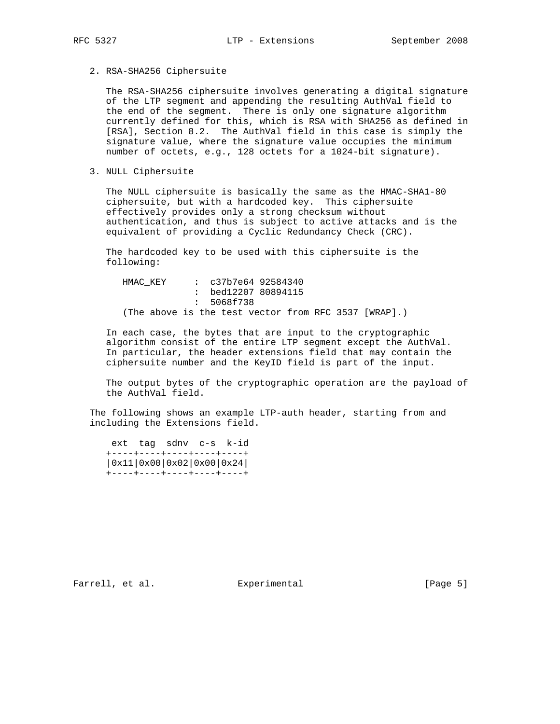2. RSA-SHA256 Ciphersuite

 The RSA-SHA256 ciphersuite involves generating a digital signature of the LTP segment and appending the resulting AuthVal field to the end of the segment. There is only one signature algorithm currently defined for this, which is RSA with SHA256 as defined in [RSA], Section 8.2. The AuthVal field in this case is simply the signature value, where the signature value occupies the minimum number of octets, e.g., 128 octets for a 1024-bit signature).

3. NULL Ciphersuite

 The NULL ciphersuite is basically the same as the HMAC-SHA1-80 ciphersuite, but with a hardcoded key. This ciphersuite effectively provides only a strong checksum without authentication, and thus is subject to active attacks and is the equivalent of providing a Cyclic Redundancy Check (CRC).

 The hardcoded key to be used with this ciphersuite is the following:

HMAC KEY : c37b7e64 92584340 : bed12207 80894115 : 5068f738 (The above is the test vector from RFC 3537 [WRAP].)

 In each case, the bytes that are input to the cryptographic algorithm consist of the entire LTP segment except the AuthVal. In particular, the header extensions field that may contain the ciphersuite number and the KeyID field is part of the input.

 The output bytes of the cryptographic operation are the payload of the AuthVal field.

 The following shows an example LTP-auth header, starting from and including the Extensions field.

 ext tag sdnv c-s k-id +----+----+----+----+----+ |0x11|0x00|0x02|0x00|0x24| +----+----+----+----+----+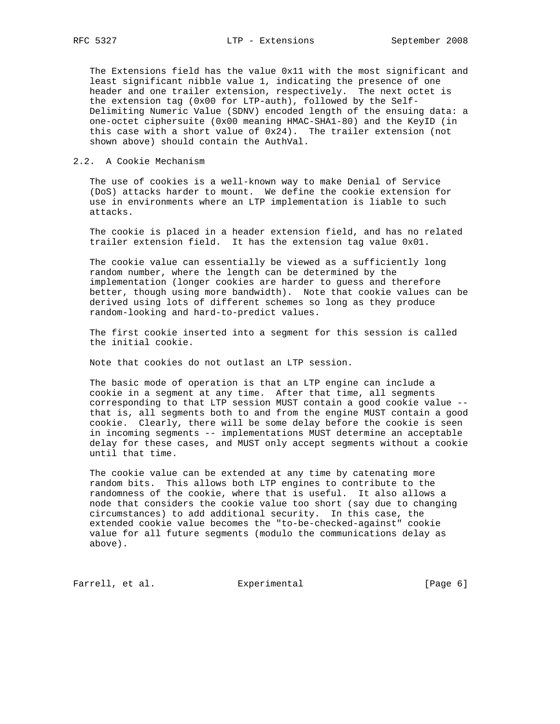The Extensions field has the value 0x11 with the most significant and least significant nibble value 1, indicating the presence of one header and one trailer extension, respectively. The next octet is the extension tag (0x00 for LTP-auth), followed by the Self- Delimiting Numeric Value (SDNV) encoded length of the ensuing data: a one-octet ciphersuite (0x00 meaning HMAC-SHA1-80) and the KeyID (in this case with a short value of 0x24). The trailer extension (not shown above) should contain the AuthVal.

## 2.2. A Cookie Mechanism

 The use of cookies is a well-known way to make Denial of Service (DoS) attacks harder to mount. We define the cookie extension for use in environments where an LTP implementation is liable to such attacks.

 The cookie is placed in a header extension field, and has no related trailer extension field. It has the extension tag value 0x01.

 The cookie value can essentially be viewed as a sufficiently long random number, where the length can be determined by the implementation (longer cookies are harder to guess and therefore better, though using more bandwidth). Note that cookie values can be derived using lots of different schemes so long as they produce random-looking and hard-to-predict values.

 The first cookie inserted into a segment for this session is called the initial cookie.

Note that cookies do not outlast an LTP session.

 The basic mode of operation is that an LTP engine can include a cookie in a segment at any time. After that time, all segments corresponding to that LTP session MUST contain a good cookie value - that is, all segments both to and from the engine MUST contain a good cookie. Clearly, there will be some delay before the cookie is seen in incoming segments -- implementations MUST determine an acceptable delay for these cases, and MUST only accept segments without a cookie until that time.

 The cookie value can be extended at any time by catenating more random bits. This allows both LTP engines to contribute to the randomness of the cookie, where that is useful. It also allows a node that considers the cookie value too short (say due to changing circumstances) to add additional security. In this case, the extended cookie value becomes the "to-be-checked-against" cookie value for all future segments (modulo the communications delay as above).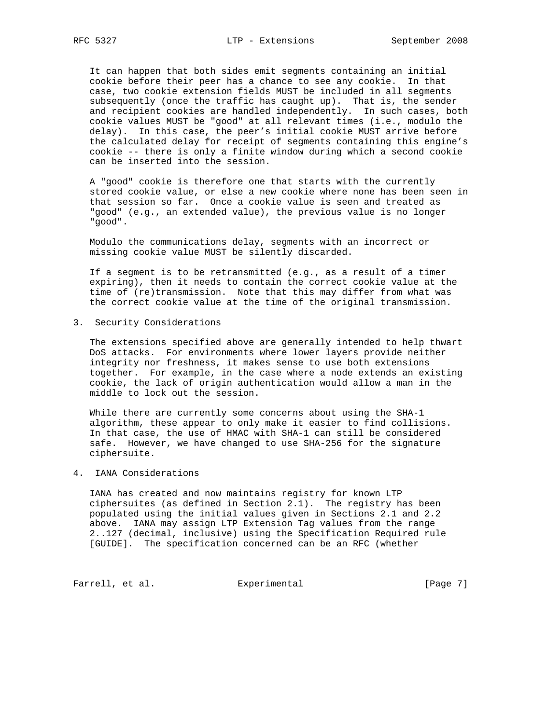It can happen that both sides emit segments containing an initial cookie before their peer has a chance to see any cookie. In that case, two cookie extension fields MUST be included in all segments subsequently (once the traffic has caught up). That is, the sender and recipient cookies are handled independently. In such cases, both cookie values MUST be "good" at all relevant times (i.e., modulo the delay). In this case, the peer's initial cookie MUST arrive before the calculated delay for receipt of segments containing this engine's cookie -- there is only a finite window during which a second cookie can be inserted into the session.

 A "good" cookie is therefore one that starts with the currently stored cookie value, or else a new cookie where none has been seen in that session so far. Once a cookie value is seen and treated as "good" (e.g., an extended value), the previous value is no longer "good".

 Modulo the communications delay, segments with an incorrect or missing cookie value MUST be silently discarded.

 If a segment is to be retransmitted (e.g., as a result of a timer expiring), then it needs to contain the correct cookie value at the time of (re)transmission. Note that this may differ from what was the correct cookie value at the time of the original transmission.

3. Security Considerations

 The extensions specified above are generally intended to help thwart DoS attacks. For environments where lower layers provide neither integrity nor freshness, it makes sense to use both extensions together. For example, in the case where a node extends an existing cookie, the lack of origin authentication would allow a man in the middle to lock out the session.

 While there are currently some concerns about using the SHA-1 algorithm, these appear to only make it easier to find collisions. In that case, the use of HMAC with SHA-1 can still be considered safe. However, we have changed to use SHA-256 for the signature ciphersuite.

4. IANA Considerations

 IANA has created and now maintains registry for known LTP ciphersuites (as defined in Section 2.1). The registry has been populated using the initial values given in Sections 2.1 and 2.2 above. IANA may assign LTP Extension Tag values from the range 2..127 (decimal, inclusive) using the Specification Required rule [GUIDE]. The specification concerned can be an RFC (whether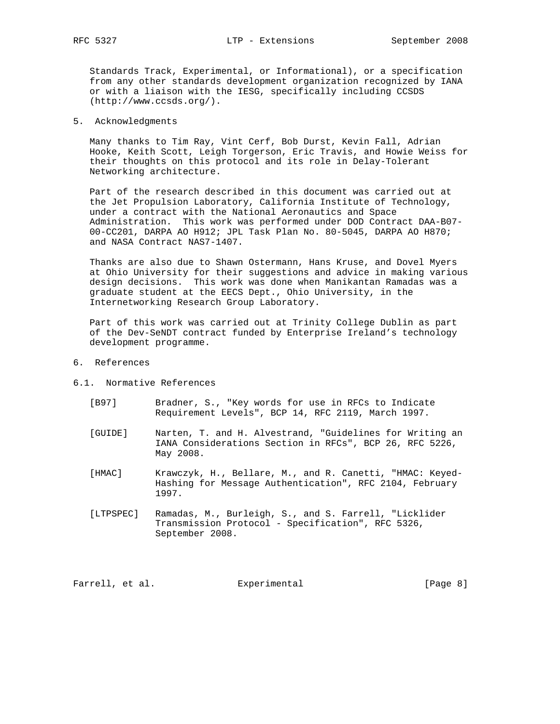Standards Track, Experimental, or Informational), or a specification from any other standards development organization recognized by IANA or with a liaison with the IESG, specifically including CCSDS (http://www.ccsds.org/).

5. Acknowledgments

 Many thanks to Tim Ray, Vint Cerf, Bob Durst, Kevin Fall, Adrian Hooke, Keith Scott, Leigh Torgerson, Eric Travis, and Howie Weiss for their thoughts on this protocol and its role in Delay-Tolerant Networking architecture.

 Part of the research described in this document was carried out at the Jet Propulsion Laboratory, California Institute of Technology, under a contract with the National Aeronautics and Space Administration. This work was performed under DOD Contract DAA-B07- 00-CC201, DARPA AO H912; JPL Task Plan No. 80-5045, DARPA AO H870; and NASA Contract NAS7-1407.

 Thanks are also due to Shawn Ostermann, Hans Kruse, and Dovel Myers at Ohio University for their suggestions and advice in making various design decisions. This work was done when Manikantan Ramadas was a graduate student at the EECS Dept., Ohio University, in the Internetworking Research Group Laboratory.

 Part of this work was carried out at Trinity College Dublin as part of the Dev-SeNDT contract funded by Enterprise Ireland's technology development programme.

- 6. References
- 6.1. Normative References
	- [B97] Bradner, S., "Key words for use in RFCs to Indicate Requirement Levels", BCP 14, RFC 2119, March 1997.
	- [GUIDE] Narten, T. and H. Alvestrand, "Guidelines for Writing an IANA Considerations Section in RFCs", BCP 26, RFC 5226, May 2008.
	- [HMAC] Krawczyk, H., Bellare, M., and R. Canetti, "HMAC: Keyed- Hashing for Message Authentication", RFC 2104, February 1997.
	- [LTPSPEC] Ramadas, M., Burleigh, S., and S. Farrell, "Licklider Transmission Protocol - Specification", RFC 5326, September 2008.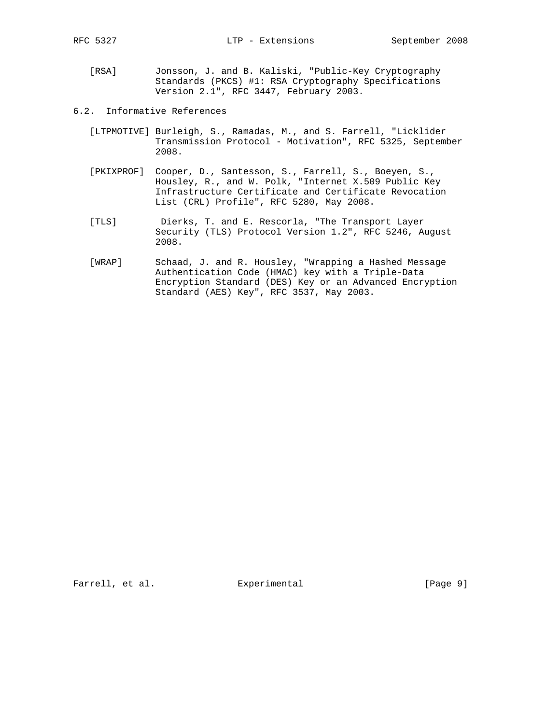- [RSA] Jonsson, J. and B. Kaliski, "Public-Key Cryptography Standards (PKCS) #1: RSA Cryptography Specifications Version 2.1", RFC 3447, February 2003.
- 6.2. Informative References
	- [LTPMOTIVE] Burleigh, S., Ramadas, M., and S. Farrell, "Licklider Transmission Protocol - Motivation", RFC 5325, September 2008.
	- [PKIXPROF] Cooper, D., Santesson, S., Farrell, S., Boeyen, S., Housley, R., and W. Polk, "Internet X.509 Public Key Infrastructure Certificate and Certificate Revocation List (CRL) Profile", RFC 5280, May 2008.
	- [TLS] Dierks, T. and E. Rescorla, "The Transport Layer Security (TLS) Protocol Version 1.2", RFC 5246, August 2008.
	- [WRAP] Schaad, J. and R. Housley, "Wrapping a Hashed Message Authentication Code (HMAC) key with a Triple-Data Encryption Standard (DES) Key or an Advanced Encryption Standard (AES) Key", RFC 3537, May 2003.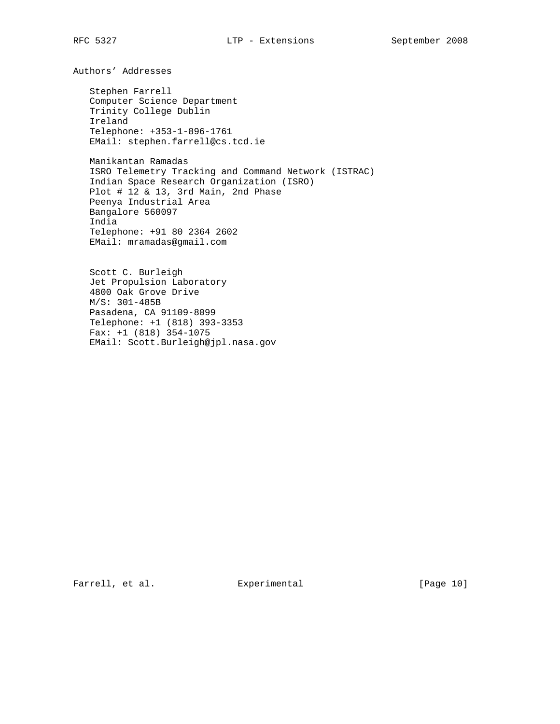Authors' Addresses

 Stephen Farrell Computer Science Department Trinity College Dublin Ireland Telephone: +353-1-896-1761 EMail: stephen.farrell@cs.tcd.ie

 Manikantan Ramadas ISRO Telemetry Tracking and Command Network (ISTRAC) Indian Space Research Organization (ISRO) Plot # 12 & 13, 3rd Main, 2nd Phase Peenya Industrial Area Bangalore 560097 India Telephone: +91 80 2364 2602 EMail: mramadas@gmail.com

 Scott C. Burleigh Jet Propulsion Laboratory 4800 Oak Grove Drive M/S: 301-485B Pasadena, CA 91109-8099 Telephone: +1 (818) 393-3353  $Fax: +1 (818) 354-1075$ EMail: Scott.Burleigh@jpl.nasa.gov

Farrell, et al. Experimental [Page 10]